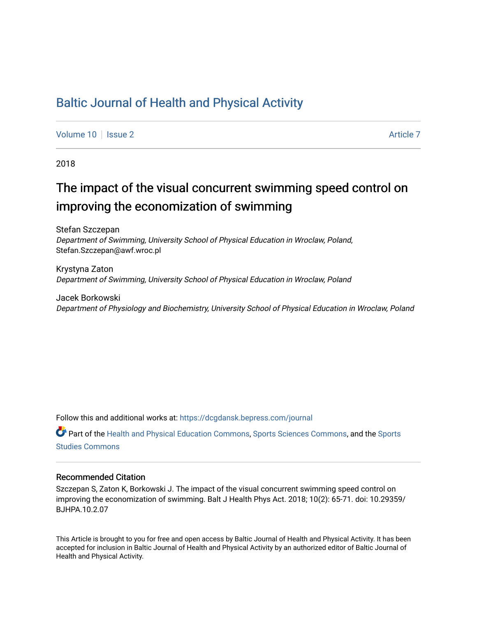## [Baltic Journal of Health and Physical Activity](https://dcgdansk.bepress.com/journal)

[Volume 10](https://dcgdansk.bepress.com/journal/vol10) | [Issue 2](https://dcgdansk.bepress.com/journal/vol10/iss2) Article 7

2018

## The impact of the visual concurrent swimming speed control on improving the economization of swimming

Stefan Szczepan Department of Swimming, University School of Physical Education in Wroclaw, Poland, Stefan.Szczepan@awf.wroc.pl

Krystyna Zaton Department of Swimming, University School of Physical Education in Wroclaw, Poland

Jacek Borkowski Department of Physiology and Biochemistry, University School of Physical Education in Wroclaw, Poland

Follow this and additional works at: [https://dcgdansk.bepress.com/journal](https://dcgdansk.bepress.com/journal?utm_source=dcgdansk.bepress.com%2Fjournal%2Fvol10%2Fiss2%2F7&utm_medium=PDF&utm_campaign=PDFCoverPages)

Part of the [Health and Physical Education Commons](http://network.bepress.com/hgg/discipline/1327?utm_source=dcgdansk.bepress.com%2Fjournal%2Fvol10%2Fiss2%2F7&utm_medium=PDF&utm_campaign=PDFCoverPages), [Sports Sciences Commons](http://network.bepress.com/hgg/discipline/759?utm_source=dcgdansk.bepress.com%2Fjournal%2Fvol10%2Fiss2%2F7&utm_medium=PDF&utm_campaign=PDFCoverPages), and the [Sports](http://network.bepress.com/hgg/discipline/1198?utm_source=dcgdansk.bepress.com%2Fjournal%2Fvol10%2Fiss2%2F7&utm_medium=PDF&utm_campaign=PDFCoverPages)  [Studies Commons](http://network.bepress.com/hgg/discipline/1198?utm_source=dcgdansk.bepress.com%2Fjournal%2Fvol10%2Fiss2%2F7&utm_medium=PDF&utm_campaign=PDFCoverPages) 

#### Recommended Citation

Szczepan S, Zaton K, Borkowski J. The impact of the visual concurrent swimming speed control on improving the economization of swimming. Balt J Health Phys Act. 2018; 10(2): 65-71. doi: 10.29359/ BJHPA.10.2.07

This Article is brought to you for free and open access by Baltic Journal of Health and Physical Activity. It has been accepted for inclusion in Baltic Journal of Health and Physical Activity by an authorized editor of Baltic Journal of Health and Physical Activity.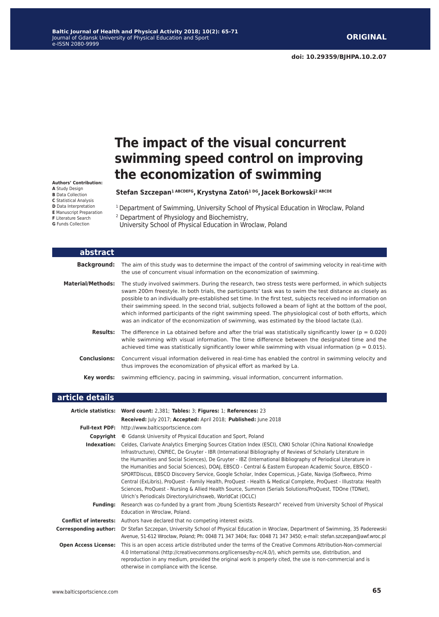# **The impact of the visual concurrent swimming speed control on improving the economization of swimming**

**Stefan Szczepan1 ABCDEFG, Krystyna Zatoń1 DG, Jacek Borkowski2 ABCDE** 

<sup>1</sup> Department of Swimming, University School of Physical Education in Wroclaw, Poland

2 Department of Physiology and Biochemistry, University School of Physical Education in Wroclaw, Poland

| abstract                 |                                                                                                                                                                                                                                                                                                                                                                                                                                                                                                                                                                                                                                                     |
|--------------------------|-----------------------------------------------------------------------------------------------------------------------------------------------------------------------------------------------------------------------------------------------------------------------------------------------------------------------------------------------------------------------------------------------------------------------------------------------------------------------------------------------------------------------------------------------------------------------------------------------------------------------------------------------------|
| <b>Background:</b>       | The aim of this study was to determine the impact of the control of swimming velocity in real-time with<br>the use of concurrent visual information on the economization of swimming.                                                                                                                                                                                                                                                                                                                                                                                                                                                               |
| <b>Material/Methods:</b> | The study involved swimmers. During the research, two stress tests were performed, in which subjects<br>swam 200m freestyle. In both trials, the participants' task was to swim the test distance as closely as<br>possible to an individually pre-established set time. In the first test, subjects received no information on<br>their swimming speed. In the second trial, subjects followed a beam of light at the bottom of the pool,<br>which informed participants of the right swimming speed. The physiological cost of both efforts, which<br>was an indicator of the economization of swimming, was estimated by the blood lactate (La). |
| <b>Results:</b>          | The difference in La obtained before and after the trial was statistically significantly lower ( $p = 0.020$ )<br>while swimming with visual information. The time difference between the designated time and the<br>achieved time was statistically significantly lower while swimming with visual information ( $p = 0.015$ ).                                                                                                                                                                                                                                                                                                                    |
| <b>Conclusions:</b>      | Concurrent visual information delivered in real-time has enabled the control in swimming velocity and<br>thus improves the economization of physical effort as marked by La.                                                                                                                                                                                                                                                                                                                                                                                                                                                                        |
| Key words:               | swimming efficiency, pacing in swimming, visual information, concurrent information.                                                                                                                                                                                                                                                                                                                                                                                                                                                                                                                                                                |

| article details              |                                                                                                                                                                                                                                                                                                                                                                                                                                                                                                                                                                                                                                                                                                                                                                                                                                                               |
|------------------------------|---------------------------------------------------------------------------------------------------------------------------------------------------------------------------------------------------------------------------------------------------------------------------------------------------------------------------------------------------------------------------------------------------------------------------------------------------------------------------------------------------------------------------------------------------------------------------------------------------------------------------------------------------------------------------------------------------------------------------------------------------------------------------------------------------------------------------------------------------------------|
|                              | Article statistics: Word count: 2,381; Tables: 3; Figures: 1; References: 23                                                                                                                                                                                                                                                                                                                                                                                                                                                                                                                                                                                                                                                                                                                                                                                  |
|                              | Received: July 2017; Accepted: April 2018; Published: June 2018                                                                                                                                                                                                                                                                                                                                                                                                                                                                                                                                                                                                                                                                                                                                                                                               |
| <b>Full-text PDF:</b>        | http://www.balticsportscience.com                                                                                                                                                                                                                                                                                                                                                                                                                                                                                                                                                                                                                                                                                                                                                                                                                             |
| Copyright                    | © Gdansk University of Physical Education and Sport, Poland                                                                                                                                                                                                                                                                                                                                                                                                                                                                                                                                                                                                                                                                                                                                                                                                   |
| Indexation:                  | Celdes, Clarivate Analytics Emerging Sources Citation Index (ESCI), CNKI Scholar (China National Knowledge<br>Infrastructure), CNPIEC, De Gruyter - IBR (International Bibliography of Reviews of Scholarly Literature in<br>the Humanities and Social Sciences), De Gruyter - IBZ (International Bibliography of Periodical Literature in<br>the Humanities and Social Sciences), DOAJ, EBSCO - Central & Eastern European Academic Source, EBSCO -<br>SPORTDiscus, EBSCO Discovery Service, Google Scholar, Index Copernicus, J-Gate, Naviga (Softweco, Primo<br>Central (ExLibris), ProQuest - Family Health, ProQuest - Health & Medical Complete, ProQuest - Illustrata: Health<br>Sciences, ProQuest - Nursing & Allied Health Source, Summon (Serials Solutions/ProQuest, TDOne (TDNet),<br>Ulrich's Periodicals Directory/ulrichsweb, WorldCat (OCLC) |
| <b>Fundina:</b>              | Research was co-funded by a grant from "Young Scientists Research" received from University School of Physical<br>Education in Wroclaw, Poland.                                                                                                                                                                                                                                                                                                                                                                                                                                                                                                                                                                                                                                                                                                               |
|                              | <b>Conflict of interests:</b> Authors have declared that no competing interest exists.                                                                                                                                                                                                                                                                                                                                                                                                                                                                                                                                                                                                                                                                                                                                                                        |
| <b>Corresponding author:</b> | Dr Stefan Szczepan, University School of Physical Education in Wroclaw, Department of Swimming, 35 Paderewski<br>Avenue, 51-612 Wrocław, Poland; Ph: 0048 71 347 3404; Fax: 0048 71 347 3450; e-mail: stefan.szczepan@awf.wroc.pl                                                                                                                                                                                                                                                                                                                                                                                                                                                                                                                                                                                                                             |
| <b>Open Access License:</b>  | This is an open access article distributed under the terms of the Creative Commons Attribution-Non-commercial<br>4.0 International (http://creativecommons.org/licenses/by-nc/4.0/), which permits use, distribution, and<br>reproduction in any medium, provided the original work is properly cited, the use is non-commercial and is<br>otherwise in compliance with the license.                                                                                                                                                                                                                                                                                                                                                                                                                                                                          |

**Authors' Contribution: A** Study Design **B** Data Collection **C** Statistical Analysis **D** Data Interpretation **E** Manuscript Preparation **F** Literature Search **G** Funds Collection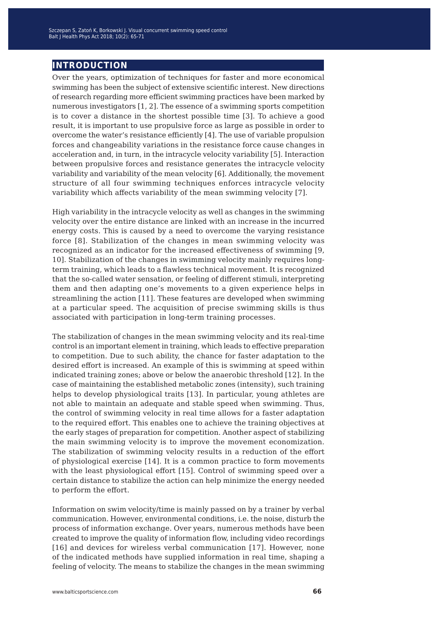## **introduction**

Over the years, optimization of techniques for faster and more economical swimming has been the subject of extensive scientific interest. New directions of research regarding more efficient swimming practices have been marked by numerous investigators [1, 2]. The essence of a swimming sports competition is to cover a distance in the shortest possible time [3]. To achieve a good result, it is important to use propulsive force as large as possible in order to overcome the water's resistance efficiently [4]. The use of variable propulsion forces and changeability variations in the resistance force cause changes in acceleration and, in turn, in the intracycle velocity variability [5]. Interaction between propulsive forces and resistance generates the intracycle velocity variability and variability of the mean velocity [6]. Additionally, the movement structure of all four swimming techniques enforces intracycle velocity variability which affects variability of the mean swimming velocity [7].

High variability in the intracycle velocity as well as changes in the swimming velocity over the entire distance are linked with an increase in the incurred energy costs. This is caused by a need to overcome the varying resistance force [8]. Stabilization of the changes in mean swimming velocity was recognized as an indicator for the increased effectiveness of swimming [9, 10]. Stabilization of the changes in swimming velocity mainly requires longterm training, which leads to a flawless technical movement. It is recognized that the so-called water sensation, or feeling of different stimuli, interpreting them and then adapting one's movements to a given experience helps in streamlining the action [11]. These features are developed when swimming at a particular speed. The acquisition of precise swimming skills is thus associated with participation in long-term training processes.

The stabilization of changes in the mean swimming velocity and its real-time control is an important element in training, which leads to effective preparation to competition. Due to such ability, the chance for faster adaptation to the desired effort is increased. An example of this is swimming at speed within indicated training zones; above or below the anaerobic threshold [12]. In the case of maintaining the established metabolic zones (intensity), such training helps to develop physiological traits [13]. In particular, young athletes are not able to maintain an adequate and stable speed when swimming. Thus, the control of swimming velocity in real time allows for a faster adaptation to the required effort. This enables one to achieve the training objectives at the early stages of preparation for competition. Another aspect of stabilizing the main swimming velocity is to improve the movement economization. The stabilization of swimming velocity results in a reduction of the effort of physiological exercise [14]. It is a common practice to form movements with the least physiological effort [15]. Control of swimming speed over a certain distance to stabilize the action can help minimize the energy needed to perform the effort.

Information on swim velocity/time is mainly passed on by a trainer by verbal communication. However, environmental conditions, i.e. the noise, disturb the process of information exchange. Over years, numerous methods have been created to improve the quality of information flow, including video recordings [16] and devices for wireless verbal communication [17]. However, none of the indicated methods have supplied information in real time, shaping a feeling of velocity. The means to stabilize the changes in the mean swimming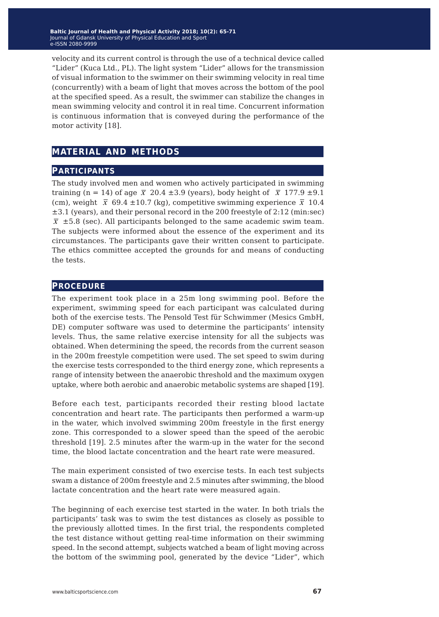velocity and its current control is through the use of a technical device called "Lider" (Kuca Ltd., PL). The light system "Lider" allows for the transmission of visual information to the swimmer on their swimming velocity in real time (concurrently) with a beam of light that moves across the bottom of the pool at the specified speed. As a result, the swimmer can stabilize the changes in mean swimming velocity and control it in real time. Concurrent information is continuous information that is conveyed during the performance of the motor activity [18].

## **material and methods**

### **participants**

The study involved men and women who actively participated in swimming training (n = 14) of age  $\bar{x}$  20.4  $\pm$ 3.9 (years), body height of  $\bar{x}$  177.9  $\pm$ 9.1 (cm), weight  $\bar{x}$  69.4 ±10.7 (kg), competitive swimming experience  $\bar{x}$  10.4 ±3.1 (years), and their personal record in the 200 freestyle of 2:12 (min:sec)  $\bar{x}$   $\pm$  5.8 (sec). All participants belonged to the same academic swim team. The subjects were informed about the essence of the experiment and its circumstances. The participants gave their written consent to participate. The ethics committee accepted the grounds for and means of conducting the tests.

### **procedure**

The experiment took place in a 25m long swimming pool. Before the experiment, swimming speed for each participant was calculated during both of the exercise tests. The Pensold Test für Schwimmer (Mesics GmbH, DE) computer software was used to determine the participants' intensity levels. Thus, the same relative exercise intensity for all the subjects was obtained. When determining the speed, the records from the current season in the 200m freestyle competition were used. The set speed to swim during the exercise tests corresponded to the third energy zone, which represents a range of intensity between the anaerobic threshold and the maximum oxygen uptake, where both aerobic and anaerobic metabolic systems are shaped [19].

Before each test, participants recorded their resting blood lactate concentration and heart rate. The participants then performed a warm-up in the water, which involved swimming 200m freestyle in the first energy zone. This corresponded to a slower speed than the speed of the aerobic threshold [19]. 2.5 minutes after the warm-up in the water for the second time, the blood lactate concentration and the heart rate were measured.

The main experiment consisted of two exercise tests. In each test subjects swam a distance of 200m freestyle and 2.5 minutes after swimming, the blood lactate concentration and the heart rate were measured again.

The beginning of each exercise test started in the water. In both trials the participants' task was to swim the test distances as closely as possible to the previously allotted times. In the first trial, the respondents completed the test distance without getting real-time information on their swimming speed. In the second attempt, subjects watched a beam of light moving across the bottom of the swimming pool, generated by the device "Lider", which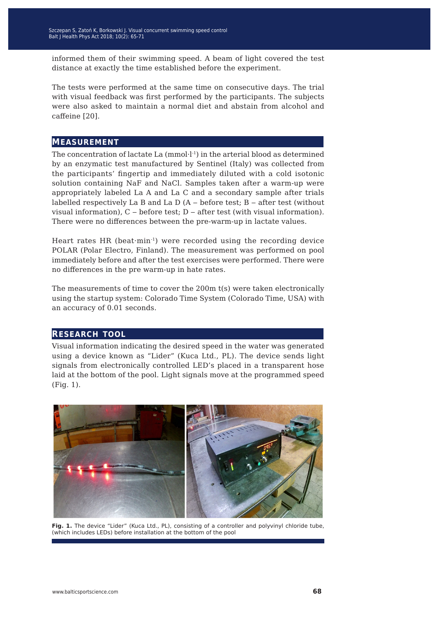informed them of their swimming speed. A beam of light covered the test distance at exactly the time established before the experiment.

The tests were performed at the same time on consecutive days. The trial with visual feedback was first performed by the participants. The subjects were also asked to maintain a normal diet and abstain from alcohol and caffeine [20].

#### **measurement**

The concentration of lactate La (mmol·l-1) in the arterial blood as determined by an enzymatic test manufactured by Sentinel (Italy) was collected from the participants' fingertip and immediately diluted with a cold isotonic solution containing NaF and NaCl. Samples taken after a warm-up were appropriately labeled La A and La C and a secondary sample after trials labelled respectively La B and La D  $(A - before test; B - after test (without$ visual information),  $C$  – before test;  $D$  – after test (with visual information). There were no differences between the pre-warm-up in lactate values.

Heart rates HR (beat·min-1) were recorded using the recording device POLAR (Polar Electro, Finland). The measurement was performed on pool immediately before and after the test exercises were performed. There were no differences in the pre warm-up in hate rates.

The measurements of time to cover the 200m t(s) were taken electronically using the startup system: Colorado Time System (Colorado Time, USA) with an accuracy of 0.01 seconds.

#### **research tool**

Visual information indicating the desired speed in the water was generated using a device known as "Lider" (Kuca Ltd., PL). The device sends light signals from electronically controlled LED's placed in a transparent hose laid at the bottom of the pool. Light signals move at the programmed speed (Fig. 1).



Fig. 1. The device "Lider" (Kuca Ltd., PL), consisting of a controller and polyvinyl chloride tube, (which includes LEDs) before installation at the bottom of the pool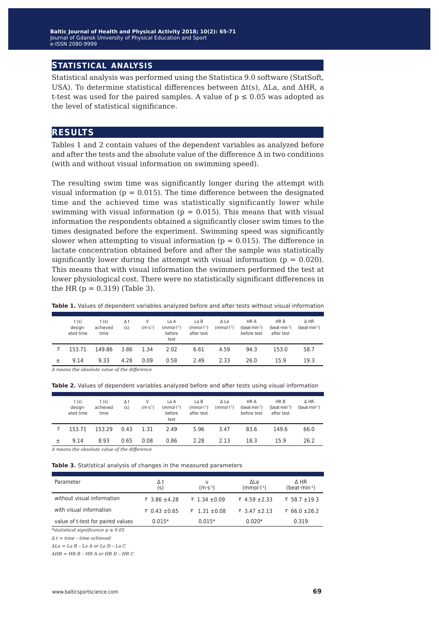### **statistical analysis**

Statistical analysis was performed using the Statistica 9.0 software (StatSoft, USA). To determine statistical differences between ∆t(s), ΔLa, and ΔHR, a t-test was used for the paired samples. A value of  $p \leq 0.05$  was adopted as the level of statistical significance.

#### **results**

Tables 1 and 2 contain values of the dependent variables as analyzed before and after the tests and the absolute value of the difference  $\Delta$  in two conditions (with and without visual information on swimming speed).

The resulting swim time was significantly longer during the attempt with visual information ( $p = 0.015$ ). The time difference between the designated time and the achieved time was statistically significantly lower while swimming with visual information ( $p = 0.015$ ). This means that with visual information the respondents obtained a significantly closer swim times to the times designated before the experiment. Swimming speed was significantly slower when attempting to visual information ( $p = 0.015$ ). The difference in lactate concentration obtained before and after the sample was statistically significantly lower during the attempt with visual information ( $p = 0.020$ ). This means that with visual information the swimmers performed the test at lower physiological cost. There were no statistically significant differences in the HR ( $p = 0.319$ ) (Table 3).

|                                                     | t(s)<br>design-<br>ated time | t(s)<br>achieved<br>time | Δt<br>(s) | v<br>$(m·s-1)$ | La A<br>$(mmol·l-1)$<br>before<br>test | LaB<br>$(mmol·l-1)$<br>after test | Δ La<br>$(mmol·l-1)$ | HR A<br>$(b$ eat·min <sup>-1</sup> )<br>before test | HR B<br>$(b$ eat·min <sup>-1</sup> )<br>after test | $\triangle$ HR<br>$(b$ eat·min <sup>-1</sup> ) |
|-----------------------------------------------------|------------------------------|--------------------------|-----------|----------------|----------------------------------------|-----------------------------------|----------------------|-----------------------------------------------------|----------------------------------------------------|------------------------------------------------|
| $\overline{x}$                                      | 153.71                       | 149.86                   | 3.86      | 1.34           | 2.02                                   | 6.61                              | 4.59                 | 94.3                                                | 153.0                                              | 58.7                                           |
|                                                     | 9.14                         | 9.33                     | 4.28      | 0.09           | 0.58                                   | 2.49                              | 2.33                 | 26.0                                                | 15.9                                               | 19.3                                           |
| $\Delta$ means the absolute value of the difference |                              |                          |           |                |                                        |                                   |                      |                                                     |                                                    |                                                |

**Table 1.** Values of dependent variables analyzed before and after tests without visual information

| Table 2. Values of dependent variables analyzed before and after tests using visual information |  |  |  |
|-------------------------------------------------------------------------------------------------|--|--|--|
|-------------------------------------------------------------------------------------------------|--|--|--|

|           | t(s)<br>design-<br>ated time | t(s)<br>achieved<br>time | Δt<br>(s) | v<br>$(m·s-1)$ | La A<br>$(mmol·l-1)$<br>before<br>test | La B<br>$(mmol·l-1)$<br>after test | Δ La<br>$(mmol·l-1)$ | HR A<br>$(b$ eat·min <sup>-1</sup> )<br>before test | HR B<br>$(b$ eat·min <sup>-1</sup> )<br>after test | $\triangle$ HR<br>$(b$ eat·min <sup>-1</sup> ) |
|-----------|------------------------------|--------------------------|-----------|----------------|----------------------------------------|------------------------------------|----------------------|-----------------------------------------------------|----------------------------------------------------|------------------------------------------------|
| $\bar{x}$ | 153.71                       | 153.29                   | 0.43      | 1.31           | 2.49                                   | 5.96                               | 3.47                 | 83.6                                                | 149.6                                              | 66.0                                           |
|           | 9.14                         | 8.93                     | 0.65      | 0.08           | 0.86                                   | 2.28                               | 2.13                 | 18.3                                                | 15.9                                               | 26.2                                           |

*Δ means the absolute value of the difference*

**Table 3.** Statistical analysis of changes in the measured parameters

| Parameter                         | Δt<br>(s)             | v<br>$(m·s-1)$        | ΔLa<br>$(mmol·l-1)$   | $\Delta$ HR<br>$(b$ eat·min <sup>-1</sup> ) |
|-----------------------------------|-----------------------|-----------------------|-----------------------|---------------------------------------------|
| without visual information        | $\bar{x}$ 3.86 ±4.28  | $\bar{x}$ 1.34 ± 0.09 | $\bar{x}$ 4.59 ± 2.33 | $\bar{x}$ 58.7 ± 19.3                       |
| with visual information           | $\bar{x}$ 0.43 ± 0.65 | $\bar{x}$ 1.31 ± 0.08 | $\bar{x}$ 3.47 ± 2.13 | $\bar{x}$ 66.0 ± 26.2                       |
| value of t-test for paired values | $0.015*$              | $0.015*$              | $0.020*$              | 0.319                                       |

*\*statistical significance p ≤ 0.05*

*∆ t = time – time achieved*

*ΔLa = La B – La A or La D – La C*

*ΔHR = HR B – HR A or HR D – HR C*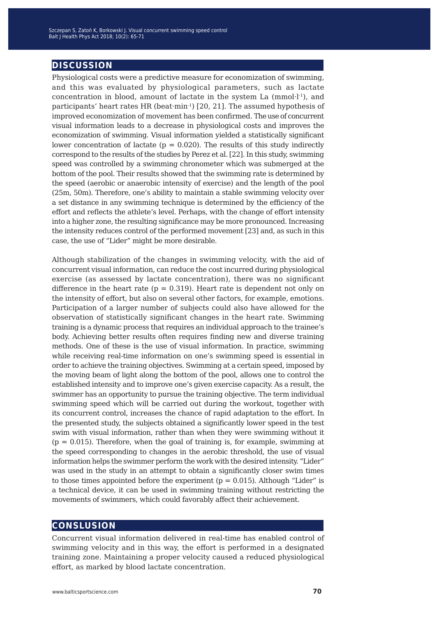## **discussion**

Physiological costs were a predictive measure for economization of swimming, and this was evaluated by physiological parameters, such as lactate concentration in blood, amount of lactate in the system La  $(mmol·l<sup>-1</sup>)$ , and participants' heart rates HR (beat·min-1) [20, 21]. The assumed hypothesis of improved economization of movement has been confirmed. The use of concurrent visual information leads to a decrease in physiological costs and improves the economization of swimming. Visual information yielded a statistically significant lower concentration of lactate ( $p = 0.020$ ). The results of this study indirectly correspond to the results of the studies by Perez et al. [22]. In this study, swimming speed was controlled by a swimming chronometer which was submerged at the bottom of the pool. Their results showed that the swimming rate is determined by the speed (aerobic or anaerobic intensity of exercise) and the length of the pool (25m, 50m). Therefore, one's ability to maintain a stable swimming velocity over a set distance in any swimming technique is determined by the efficiency of the effort and reflects the athlete's level. Perhaps, with the change of effort intensity into a higher zone, the resulting significance may be more pronounced. Increasing the intensity reduces control of the performed movement [23] and, as such in this case, the use of "Lider" might be more desirable.

Although stabilization of the changes in swimming velocity, with the aid of concurrent visual information, can reduce the cost incurred during physiological exercise (as assessed by lactate concentration), there was no significant difference in the heart rate ( $p = 0.319$ ). Heart rate is dependent not only on the intensity of effort, but also on several other factors, for example, emotions. Participation of a larger number of subjects could also have allowed for the observation of statistically significant changes in the heart rate. Swimming training is a dynamic process that requires an individual approach to the trainee's body. Achieving better results often requires finding new and diverse training methods. One of these is the use of visual information. In practice, swimming while receiving real-time information on one's swimming speed is essential in order to achieve the training objectives. Swimming at a certain speed, imposed by the moving beam of light along the bottom of the pool, allows one to control the established intensity and to improve one's given exercise capacity. As a result, the swimmer has an opportunity to pursue the training objective. The term individual swimming speed which will be carried out during the workout, together with its concurrent control, increases the chance of rapid adaptation to the effort. In the presented study, the subjects obtained a significantly lower speed in the test swim with visual information, rather than when they were swimming without it  $(p = 0.015)$ . Therefore, when the goal of training is, for example, swimming at the speed corresponding to changes in the aerobic threshold, the use of visual information helps the swimmer perform the work with the desired intensity. "Lider" was used in the study in an attempt to obtain a significantly closer swim times to those times appointed before the experiment ( $p = 0.015$ ). Although "Lider" is a technical device, it can be used in swimming training without restricting the movements of swimmers, which could favorably affect their achievement.

### **conslusion**

Concurrent visual information delivered in real-time has enabled control of swimming velocity and in this way, the effort is performed in a designated training zone. Maintaining a proper velocity caused a reduced physiological effort, as marked by blood lactate concentration.